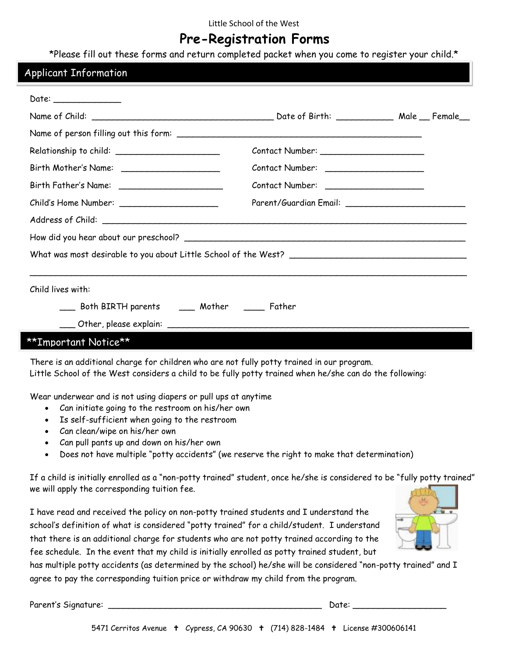### Little School of the West

# **Pre-Registration Forms**

\*Please fill out these forms and return completed packet when you come to register your child.\*

### Applicant Information

| Date: _________________                        |                                                                                                                                                                                                                                |  |  |
|------------------------------------------------|--------------------------------------------------------------------------------------------------------------------------------------------------------------------------------------------------------------------------------|--|--|
|                                                |                                                                                                                                                                                                                                |  |  |
|                                                |                                                                                                                                                                                                                                |  |  |
|                                                |                                                                                                                                                                                                                                |  |  |
|                                                |                                                                                                                                                                                                                                |  |  |
|                                                |                                                                                                                                                                                                                                |  |  |
|                                                | Parent/Guardian Email: \\square\\square\\square\\square\\square\\square\\square\\square\\square\\square\\square\\square\\square\\square\\square\\square\\square\\square\\square\\square\\square\\square\\square\\square\\squar |  |  |
|                                                |                                                                                                                                                                                                                                |  |  |
|                                                |                                                                                                                                                                                                                                |  |  |
|                                                |                                                                                                                                                                                                                                |  |  |
|                                                |                                                                                                                                                                                                                                |  |  |
| Child lives with:                              |                                                                                                                                                                                                                                |  |  |
| ___ Both BIRTH parents ____ Mother ____ Father |                                                                                                                                                                                                                                |  |  |
|                                                |                                                                                                                                                                                                                                |  |  |
| **Important Notice**                           |                                                                                                                                                                                                                                |  |  |

There is an additional charge for children who are not fully potty trained in our program. Little School of the West considers a child to be fully potty trained when he/she can do the following:

Wear underwear and is not using diapers or pull ups at anytime

- Can initiate going to the restroom on his/her own
- Is self-sufficient when going to the restroom
- Can clean/wipe on his/her own
- Can pull pants up and down on his/her own
- Does not have multiple "potty accidents" (we reserve the right to make that determination)

If a child is initially enrolled as a "non-potty trained" student, once he/she is considered to be "fully potty trained" we will apply the corresponding tuition fee.

I have read and received the policy on non-potty trained students and I understand the school's definition of what is considered "potty trained" for a child/student. I understand that there is an additional charge for students who are not potty trained according to the fee schedule. In the event that my child is initially enrolled as potty trained student, but



has multiple potty accidents (as determined by the school) he/she will be considered "non-potty trained" and I agree to pay the corresponding tuition price or withdraw my child from the program.

Parent's Signature: \_\_\_\_\_\_\_\_\_\_\_\_\_\_\_\_\_\_\_\_\_\_\_\_\_\_\_\_\_\_\_\_\_\_\_\_\_\_\_\_\_ Date: \_\_\_\_\_\_\_\_\_\_\_\_\_\_\_\_\_\_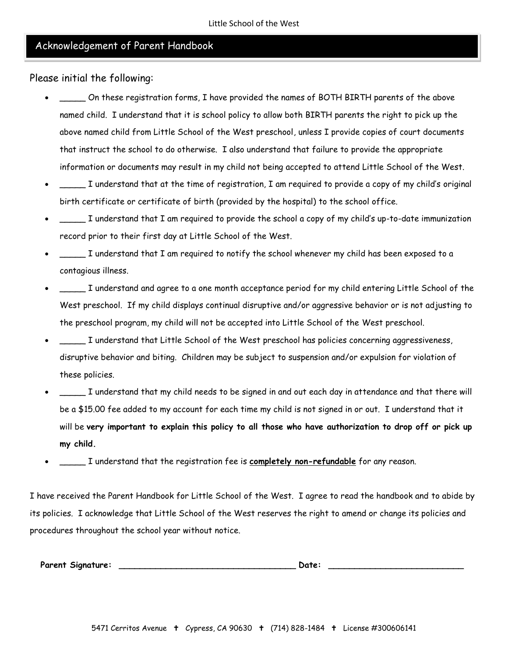### Acknowledgement of Parent Handbook

Please initial the following:

- \_\_\_\_\_ On these registration forms, I have provided the names of BOTH BIRTH parents of the above named child. I understand that it is school policy to allow both BIRTH parents the right to pick up the above named child from Little School of the West preschool, unless I provide copies of court documents that instruct the school to do otherwise. I also understand that failure to provide the appropriate information or documents may result in my child not being accepted to attend Little School of the West.
- \_\_\_\_\_ I understand that at the time of registration, I am required to provide a copy of my child's original birth certificate or certificate of birth (provided by the hospital) to the school office.
- \_\_\_\_\_ I understand that I am required to provide the school a copy of my child's up-to-date immunization record prior to their first day at Little School of the West.
- \_\_\_\_\_ I understand that I am required to notify the school whenever my child has been exposed to a contagious illness.
- \_\_\_\_\_ I understand and agree to a one month acceptance period for my child entering Little School of the West preschool. If my child displays continual disruptive and/or aggressive behavior or is not adjusting to the preschool program, my child will not be accepted into Little School of the West preschool.
- \_\_\_\_\_ I understand that Little School of the West preschool has policies concerning aggressiveness, disruptive behavior and biting. Children may be subject to suspension and/or expulsion for violation of these policies.
- \_\_\_\_\_ I understand that my child needs to be signed in and out each day in attendance and that there will be a \$15.00 fee added to my account for each time my child is not signed in or out. I understand that it will be **very important to explain this policy to all those who have authorization to drop off or pick up my child.**
- \_\_\_\_\_ I understand that the registration fee is **completely non-refundable** for any reason.

I have received the Parent Handbook for Little School of the West. I agree to read the handbook and to abide by its policies. I acknowledge that Little School of the West reserves the right to amend or change its policies and procedures throughout the school year without notice.

 **Parent Signature: \_\_\_\_\_\_\_\_\_\_\_\_\_\_\_\_\_\_\_\_\_\_\_\_\_\_\_\_\_\_\_\_\_\_ Date: \_\_\_\_\_\_\_\_\_\_\_\_\_\_\_\_\_\_\_\_\_\_\_\_\_\_**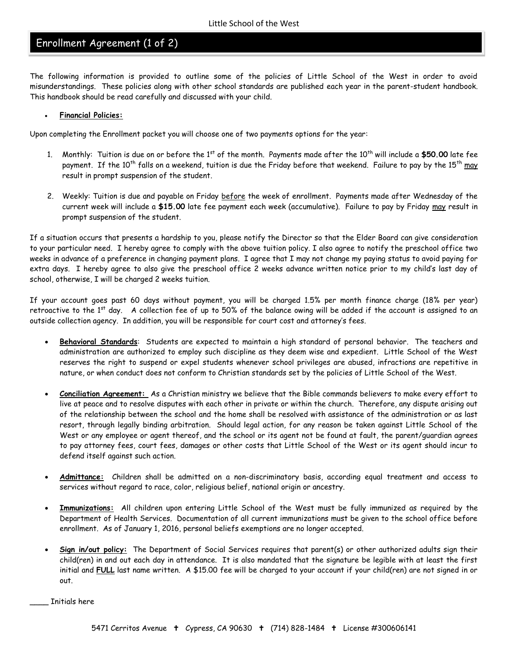## Enrollment Agreement (1 of 2)

The following information is provided to outline some of the policies of Little School of the West in order to avoid misunderstandings. These policies along with other school standards are published each year in the parent-student handbook. This handbook should be read carefully and discussed with your child.

#### **Financial Policies:**

Upon completing the Enrollment packet you will choose one of two payments options for the year:

- 1. Monthly: Tuition is due on or before the 1<sup>st</sup> of the month. Payments made after the 10<sup>th</sup> will include a \$50.00 late fee payment. If the 10<sup>th</sup> falls on a weekend, tuition is due the Friday before that weekend. Failure to pay by the 15<sup>th</sup> may result in prompt suspension of the student.
- 2. Weekly: Tuition is due and payable on Friday before the week of enrollment. Payments made after Wednesday of the current week will include a **\$15.00** late fee payment each week (accumulative). Failure to pay by Friday may result in prompt suspension of the student.

If a situation occurs that presents a hardship to you, please notify the Director so that the Elder Board can give consideration to your particular need. I hereby agree to comply with the above tuition policy. I also agree to notify the preschool office two weeks in advance of a preference in changing payment plans. I agree that I may not change my paying status to avoid paying for extra days. I hereby agree to also give the preschool office 2 weeks advance written notice prior to my child's last day of school, otherwise, I will be charged 2 weeks tuition.

If your account goes past 60 days without payment, you will be charged 1.5% per month finance charge (18% per year) retroactive to the  $1<sup>st</sup>$  day. A collection fee of up to 50% of the balance owing will be added if the account is assigned to an outside collection agency. In addition, you will be responsible for court cost and attorney's fees.

- **Behavioral Standards**: Students are expected to maintain a high standard of personal behavior. The teachers and administration are authorized to employ such discipline as they deem wise and expedient. Little School of the West reserves the right to suspend or expel students whenever school privileges are abused, infractions are repetitive in nature, or when conduct does not conform to Christian standards set by the policies of Little School of the West.
- **Conciliation Agreement:** As a Christian ministry we believe that the Bible commands believers to make every effort to live at peace and to resolve disputes with each other in private or within the church. Therefore, any dispute arising out of the relationship between the school and the home shall be resolved with assistance of the administration or as last resort, through legally binding arbitration. Should legal action, for any reason be taken against Little School of the West or any employee or agent thereof, and the school or its agent not be found at fault, the parent/guardian agrees to pay attorney fees, court fees, damages or other costs that Little School of the West or its agent should incur to defend itself against such action.
- **Admittance:** Children shall be admitted on a non-discriminatory basis, according equal treatment and access to services without regard to race, color, religious belief, national origin or ancestry.
- **Immunizations:** All children upon entering Little School of the West must be fully immunized as required by the Department of Health Services. Documentation of all current immunizations must be given to the school office before enrollment. As of January 1, 2016, personal beliefs exemptions are no longer accepted.
- **Sign in/out policy:** The Department of Social Services requires that parent(s) or other authorized adults sign their child(ren) in and out each day in attendance. It is also mandated that the signature be legible with at least the first initial and **FULL** last name written. A \$15.00 fee will be charged to your account if your child(ren) are not signed in or out.

\_\_\_\_ Initials here